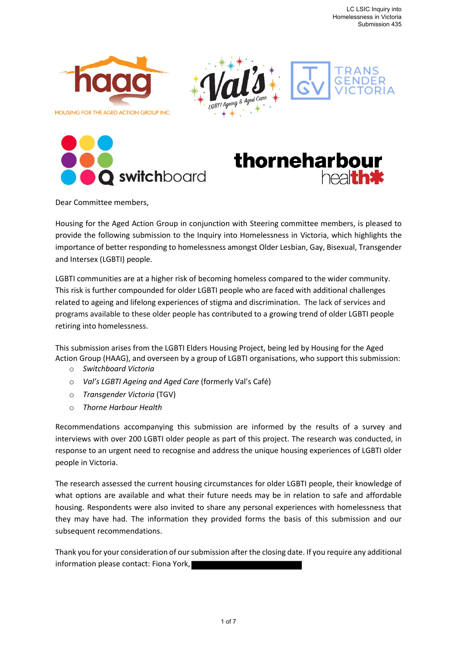







Dear Committee members,

Housing for the Aged Action Group in conjunction with Steering committee members, is pleased to provide the following submission to the Inquiry into Homelessness in Victoria, which highlights the importance of better responding to homelessness amongst Older Lesbian, Gay, Bisexual, Transgender and Intersex (LGBTI) people.

LGBTI communities are at a higher risk of becoming homeless compared to the wider community. This risk is further compounded for older LGBTI people who are faced with additional challenges related to ageing and lifelong experiences of stigma and discrimination. The lack of services and programs available to these older people has contributed to a growing trend of older LGBTI people retiring into homelessness.

This submission arises from the LGBTI Elders Housing Project, being led by Housing for the Aged Action Group (HAAG), and overseen by a group of LGBTI organisations, who support this submission:

- o *Switchboard Victoria*
- o *Val's LGBTI Ageing and Aged Care* (formerly Val's Café)
- o *Transgender Victoria* (TGV)
- o *Thorne Harbour Health*

Recommendations accompanying this submission are informed by the results of a survey and interviews with over 200 LGBTI older people as part of this project. The research was conducted, in response to an urgent need to recognise and address the unique housing experiences of LGBTI older people in Victoria.

The research assessed the current housing circumstances for older LGBTI people, their knowledge of what options are available and what their future needs may be in relation to safe and affordable housing. Respondents were also invited to share any personal experiences with homelessness that they may have had. The information they provided forms the basis of this submission and our subsequent recommendations.

Thank you for your consideration of our submission after the closing date. If you require any additional information please contact: Fiona York,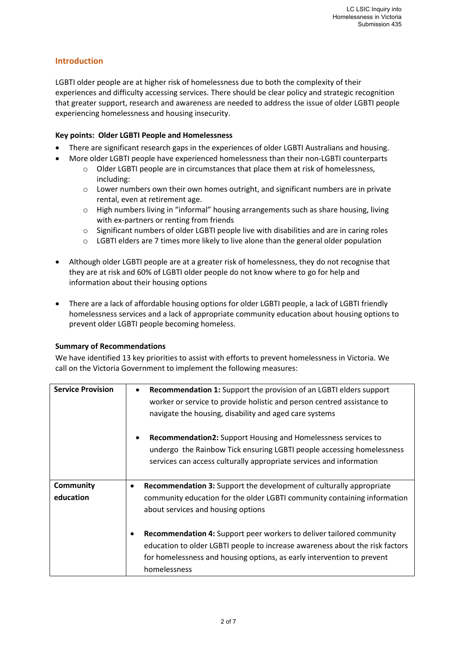# **Introduction**

LGBTI older people are at higher risk of homelessness due to both the complexity of their experiences and difficulty accessing services. There should be clear policy and strategic recognition that greater support, research and awareness are needed to address the issue of older LGBTI people experiencing homelessness and housing insecurity.

## **Key points: Older LGBTI People and Homelessness**

- There are significant research gaps in the experiences of older LGBTI Australians and housing.
- More older LGBTI people have experienced homelessness than their non-LGBTI counterparts
	- o Older LGBTI people are in circumstances that place them at risk of homelessness, including:
	- $\circ$  Lower numbers own their own homes outright, and significant numbers are in private rental, even at retirement age.
	- o High numbers living in "informal" housing arrangements such as share housing, living with ex-partners or renting from friends
	- o Significant numbers of older LGBTI people live with disabilities and are in caring roles
	- $\circ$  LGBTI elders are 7 times more likely to live alone than the general older population
- Although older LGBTI people are at a greater risk of homelessness, they do not recognise that they are at risk and 60% of LGBTI older people do not know where to go for help and information about their housing options
- There are a lack of affordable housing options for older LGBTI people, a lack of LGBTI friendly homelessness services and a lack of appropriate community education about housing options to prevent older LGBTI people becoming homeless.

#### **Summary of Recommendations**

We have identified 13 key priorities to assist with efforts to prevent homelessness in Victoria. We call on the Victoria Government to implement the following measures:

| <b>Service Provision</b> | <b>Recommendation 1:</b> Support the provision of an LGBTI elders support<br>worker or service to provide holistic and person centred assistance to<br>navigate the housing, disability and aged care systems<br><b>Recommendation2:</b> Support Housing and Homelessness services to |
|--------------------------|---------------------------------------------------------------------------------------------------------------------------------------------------------------------------------------------------------------------------------------------------------------------------------------|
|                          | undergo the Rainbow Tick ensuring LGBTI people accessing homelessness<br>services can access culturally appropriate services and information                                                                                                                                          |
| <b>Community</b>         | <b>Recommendation 3:</b> Support the development of culturally appropriate<br>$\bullet$                                                                                                                                                                                               |
| education                | community education for the older LGBTI community containing information                                                                                                                                                                                                              |
|                          | about services and housing options                                                                                                                                                                                                                                                    |
|                          | Recommendation 4: Support peer workers to deliver tailored community                                                                                                                                                                                                                  |
|                          | education to older LGBTI people to increase awareness about the risk factors                                                                                                                                                                                                          |
|                          | for homelessness and housing options, as early intervention to prevent                                                                                                                                                                                                                |
|                          | homelessness                                                                                                                                                                                                                                                                          |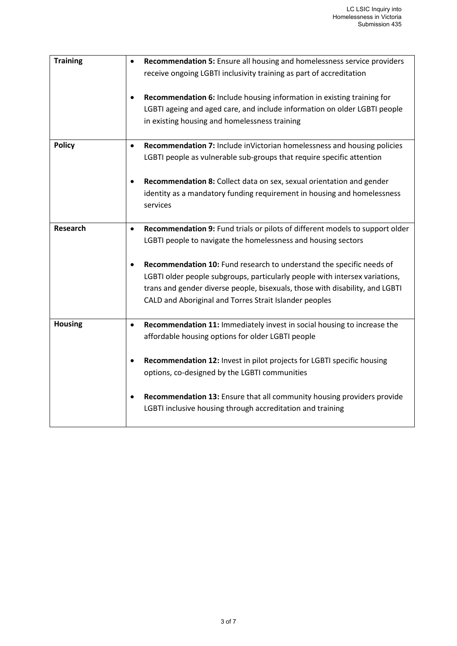| <b>Training</b> | Recommendation 5: Ensure all housing and homelessness service providers<br>receive ongoing LGBTI inclusivity training as part of accreditation                                                                                                                                                |
|-----------------|-----------------------------------------------------------------------------------------------------------------------------------------------------------------------------------------------------------------------------------------------------------------------------------------------|
|                 | Recommendation 6: Include housing information in existing training for<br>LGBTI ageing and aged care, and include information on older LGBTI people<br>in existing housing and homelessness training                                                                                          |
| <b>Policy</b>   | Recommendation 7: Include inVictorian homelessness and housing policies<br>$\bullet$<br>LGBTI people as vulnerable sub-groups that require specific attention                                                                                                                                 |
|                 | Recommendation 8: Collect data on sex, sexual orientation and gender<br>$\bullet$<br>identity as a mandatory funding requirement in housing and homelessness<br>services                                                                                                                      |
| Research        | Recommendation 9: Fund trials or pilots of different models to support older<br>$\bullet$<br>LGBTI people to navigate the homelessness and housing sectors                                                                                                                                    |
|                 | Recommendation 10: Fund research to understand the specific needs of<br>LGBTI older people subgroups, particularly people with intersex variations,<br>trans and gender diverse people, bisexuals, those with disability, and LGBTI<br>CALD and Aboriginal and Torres Strait Islander peoples |
| <b>Housing</b>  | Recommendation 11: Immediately invest in social housing to increase the<br>$\bullet$<br>affordable housing options for older LGBTI people                                                                                                                                                     |
|                 | Recommendation 12: Invest in pilot projects for LGBTI specific housing<br>options, co-designed by the LGBTI communities                                                                                                                                                                       |
|                 | Recommendation 13: Ensure that all community housing providers provide<br>LGBTI inclusive housing through accreditation and training                                                                                                                                                          |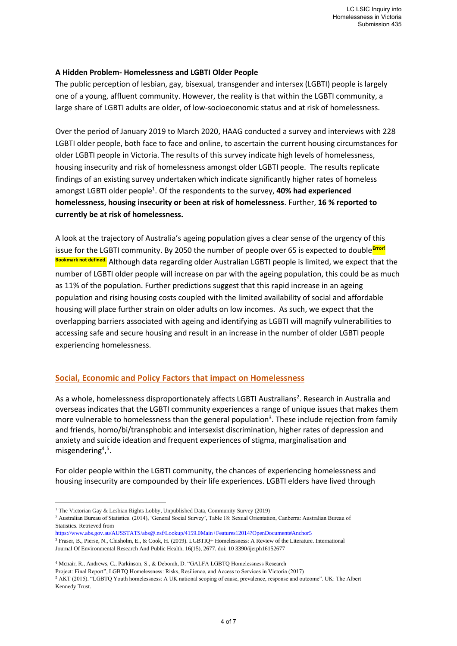### **A Hidden Problem- Homelessness and LGBTI Older People**

The public perception of lesbian, gay, bisexual, transgender and intersex (LGBTI) people is largely one of a young, affluent community. However, the reality is that within the LGBTI community, a large share of LGBTI adults are older, of low-socioeconomic status and at risk of homelessness.

Over the period of January 2019 to March 2020, HAAG conducted a survey and interviews with 228 LGBTI older people, both face to face and online, to ascertain the current housing circumstances for older LGBTI people in Victoria. The results of this survey indicate high levels of homelessness, housing insecurity and risk of homelessness amongst older LGBTI people. The results replicate findings of an existing survey undertaken which indicate significantly higher rates of homeless amongst LGBTI older people<sup>1</sup>. Of the respondents to the survey, **40% had experienced homelessness, housing insecurity or been at risk of homelessness**. Further, **16 % reported to currently be at risk of homelessness.** 

A look at the trajectory of Australia's ageing population gives a clear sense of the urgency of this issue for the LGBTI community. By 2050 the number of people over 65 is expected to double<sup>Error!</sup> **Bookmark not defined.** Although data regarding older Australian LGBTI people is limited, we expect that the number of LGBTI older people will increase on par with the ageing population, this could be as much as 11% of the population. Further predictions suggest that this rapid increase in an ageing population and rising housing costs coupled with the limited availability of social and affordable housing will place further strain on older adults on low incomes. As such, we expect that the overlapping barriers associated with ageing and identifying as LGBTI will magnify vulnerabilities to accessing safe and secure housing and result in an increase in the number of older LGBTI people experiencing homelessness.

## **Social, Economic and Policy Factors that impact on Homelessness**

As a whole, homelessness disproportionately affects LGBTI Australians<sup>2</sup>. Research in Australia and overseas indicates that the LGBTI community experiences a range of unique issues that makes them more vulnerable to homelessness than the general population<sup>3</sup>. These include rejection from family and friends, homo/bi/transphobic and intersexist discrimination, higher rates of depression and anxiety and suicide ideation and frequent experiences of stigma, marginalisation and misgendering<sup>4,5</sup>.

For older people within the LGBTI community, the chances of experiencing homelessness and housing insecurity are compounded by their life experiences. LGBTI elders have lived through

<sup>1</sup> The Victorian Gay & Lesbian Rights Lobby, Unpublished Data, Community Survey (2019) <sup>2</sup> Australian Bureau of Statistics. (2014), 'General Social Survey', Table 18: Sexual Orientation, Canberra: Australian Bureau of Statistics. Retrieved from

https://www.abs.gov.au/AUSSTATS/abs@.nsf/Lookup/4159.0Main+Features12014?OpenDocument#Anchor5 <sup>3</sup> Fraser, B., Pierse, N., Chisholm, E., & Cook, H. (2019). LGBTIQ+ Homelessness: A Review of the Literature. International Journal Of Environmental Research And Public Health, 16(15), 2677. doi: 10 3390/ijerph16152677

<sup>4</sup> Mcnair, R., Andrews, C., Parkinson, S., & Deborah, D. "GALFA LGBTQ Homelessness Research Project: Final Report", LGBTQ Homelessness: Risks, Resilience, and Access to Services in Victoria (2017)

<sup>5</sup> AKT (2015). "LGBTQ Youth homelessness: A UK national scoping of cause, prevalence, response and outcome". UK: The Albert Kennedy Trust.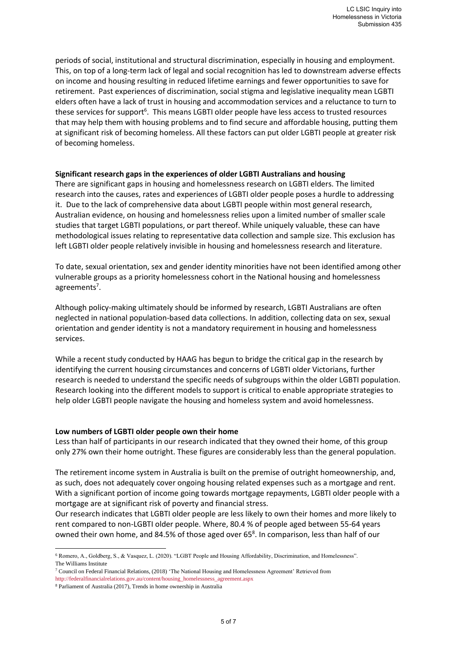periods of social, institutional and structural discrimination, especially in housing and employment. This, on top of a long-term lack of legal and social recognition has led to downstream adverse effects on income and housing resulting in reduced lifetime earnings and fewer opportunities to save for retirement. Past experiences of discrimination, social stigma and legislative inequality mean LGBTI elders often have a lack of trust in housing and accommodation services and a reluctance to turn to these services for support<sup>6</sup>. This means LGBTI older people have less access to trusted resources that may help them with housing problems and to find secure and affordable housing, putting them at significant risk of becoming homeless. All these factors can put older LGBTI people at greater risk of becoming homeless.

#### **Significant research gaps in the experiences of older LGBTI Australians and housing**

There are significant gaps in housing and homelessness research on LGBTI elders. The limited research into the causes, rates and experiences of LGBTI older people poses a hurdle to addressing it. Due to the lack of comprehensive data about LGBTI people within most general research, Australian evidence, on housing and homelessness relies upon a limited number of smaller scale studies that target LGBTI populations, or part thereof. While uniquely valuable, these can have methodological issues relating to representative data collection and sample size. This exclusion has left LGBTI older people relatively invisible in housing and homelessness research and literature.

To date, sexual orientation, sex and gender identity minorities have not been identified among other vulnerable groups as a priority homelessness cohort in the National housing and homelessness agreements<sup>7</sup>.

Although policy-making ultimately should be informed by research, LGBTI Australians are often neglected in national population-based data collections. In addition, collecting data on sex, sexual orientation and gender identity is not a mandatory requirement in housing and homelessness services.

While a recent study conducted by HAAG has begun to bridge the critical gap in the research by identifying the current housing circumstances and concerns of LGBTI older Victorians, further research is needed to understand the specific needs of subgroups within the older LGBTI population. Research looking into the different models to support is critical to enable appropriate strategies to help older LGBTI people navigate the housing and homeless system and avoid homelessness.

#### **Low numbers of LGBTI older people own their home**

Less than half of participants in our research indicated that they owned their home, of this group only 27% own their home outright. These figures are considerably less than the general population.

The retirement income system in Australia is built on the premise of outright homeownership, and, as such, does not adequately cover ongoing housing related expenses such as a mortgage and rent. With a significant portion of income going towards mortgage repayments, LGBTI older people with a mortgage are at significant risk of poverty and financial stress.

Our research indicates that LGBTI older people are less likely to own their homes and more likely to rent compared to non-LGBTI older people. Where, 80.4 % of people aged between 55-64 years owned their own home, and 84.5% of those aged over  $65^8$ . In comparison, less than half of our

<sup>6</sup> Romero, A., Goldberg, S., & Vasquez, L. (2020). "LGBT People and Housing Affordability, Discrimination, and Homelessness". The Williams Institute

<sup>7</sup> Council on Federal Financial Relations, (2018) 'The National Housing and Homelessness Agreement' Retrieved from

http://federalfinancialrelations.gov.au/content/housing\_homelessness\_agreement.aspx

<sup>8</sup> Parliament of Australia (2017), Trends in home ownership in Australia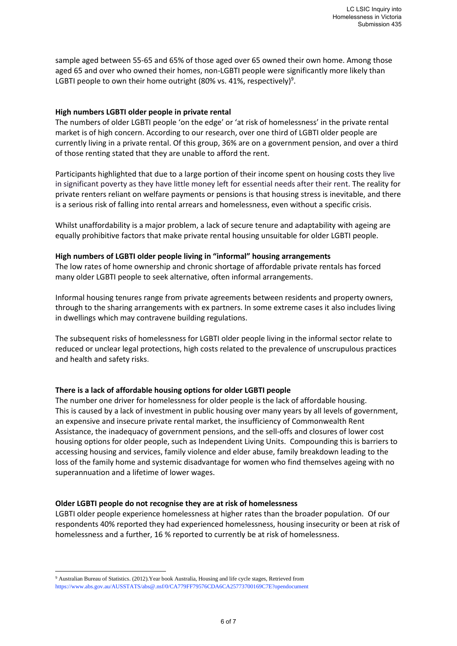sample aged between 55-65 and 65% of those aged over 65 owned their own home. Among those aged 65 and over who owned their homes, non-LGBTI people were significantly more likely than LGBTI people to own their home outright (80% vs. 41%, respectively) $^9$ .

#### **High numbers LGBTI older people in private rental**

The numbers of older LGBTI people 'on the edge' or 'at risk of homelessness' in the private rental market is of high concern. According to our research, over one third of LGBTI older people are currently living in a private rental. Of this group, 36% are on a government pension, and over a third of those renting stated that they are unable to afford the rent.

Participants highlighted that due to a large portion of their income spent on housing costs they live in significant poverty as they have little money left for essential needs after their rent. The reality for private renters reliant on welfare payments or pensions is that housing stress is inevitable, and there is a serious risk of falling into rental arrears and homelessness, even without a specific crisis.

Whilst unaffordability is a major problem, a lack of secure tenure and adaptability with ageing are equally prohibitive factors that make private rental housing unsuitable for older LGBTI people.

#### **High numbers of LGBTI older people living in "informal" housing arrangements**

The low rates of home ownership and chronic shortage of affordable private rentals has forced many older LGBTI people to seek alternative, often informal arrangements.

Informal housing tenures range from private agreements between residents and property owners, through to the sharing arrangements with ex partners. In some extreme cases it also includes living in dwellings which may contravene building regulations.

The subsequent risks of homelessness for LGBTI older people living in the informal sector relate to reduced or unclear legal protections, high costs related to the prevalence of unscrupulous practices and health and safety risks.

#### **There is a lack of affordable housing options for older LGBTI people**

The number one driver for homelessness for older people is the lack of affordable housing. This is caused by a lack of investment in public housing over many years by all levels of government, an expensive and insecure private rental market, the insufficiency of Commonwealth Rent Assistance, the inadequacy of government pensions, and the sell-offs and closures of lower cost housing options for older people, such as Independent Living Units. Compounding this is barriers to accessing housing and services, family violence and elder abuse, family breakdown leading to the loss of the family home and systemic disadvantage for women who find themselves ageing with no superannuation and a lifetime of lower wages.

#### **Older LGBTI people do not recognise they are at risk of homelessness**

LGBTI older people experience homelessness at higher rates than the broader population. Of our respondents 40% reported they had experienced homelessness, housing insecurity or been at risk of homelessness and a further, 16 % reported to currently be at risk of homelessness.

<sup>9</sup> Australian Bureau of Statistics. (2012).Year book Australia, Housing and life cycle stages, Retrieved from https://www.abs.gov.au/AUSSTATS/abs@.nsf/0/CA779FF79576CDA6CA25773700169C7E?opendocument